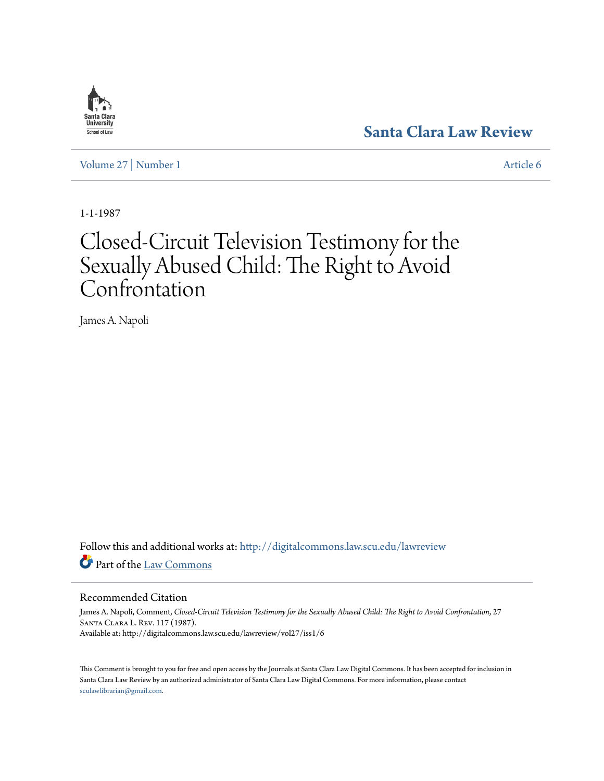# **[Santa Clara Law Review](http://digitalcommons.law.scu.edu/lawreview?utm_source=digitalcommons.law.scu.edu%2Flawreview%2Fvol27%2Fiss1%2F6&utm_medium=PDF&utm_campaign=PDFCoverPages)**

[Volume 27](http://digitalcommons.law.scu.edu/lawreview/vol27?utm_source=digitalcommons.law.scu.edu%2Flawreview%2Fvol27%2Fiss1%2F6&utm_medium=PDF&utm_campaign=PDFCoverPages) | [Number 1](http://digitalcommons.law.scu.edu/lawreview/vol27/iss1?utm_source=digitalcommons.law.scu.edu%2Flawreview%2Fvol27%2Fiss1%2F6&utm_medium=PDF&utm_campaign=PDFCoverPages) [Article 6](http://digitalcommons.law.scu.edu/lawreview/vol27/iss1/6?utm_source=digitalcommons.law.scu.edu%2Flawreview%2Fvol27%2Fiss1%2F6&utm_medium=PDF&utm_campaign=PDFCoverPages)

1-1-1987

# Closed-Circuit Television Testimony for the Sexually Abused Child: The Right to Avoid **Confrontation**

James A. Napoli

Follow this and additional works at: [http://digitalcommons.law.scu.edu/lawreview](http://digitalcommons.law.scu.edu/lawreview?utm_source=digitalcommons.law.scu.edu%2Flawreview%2Fvol27%2Fiss1%2F6&utm_medium=PDF&utm_campaign=PDFCoverPages) Part of the [Law Commons](http://network.bepress.com/hgg/discipline/578?utm_source=digitalcommons.law.scu.edu%2Flawreview%2Fvol27%2Fiss1%2F6&utm_medium=PDF&utm_campaign=PDFCoverPages)

# Recommended Citation

James A. Napoli, Comment, *Closed-Circuit Television Testimony for the Sexually Abused Child: The Right to Avoid Confrontation*, 27 Santa Clara L. Rev. 117 (1987). Available at: http://digitalcommons.law.scu.edu/lawreview/vol27/iss1/6

This Comment is brought to you for free and open access by the Journals at Santa Clara Law Digital Commons. It has been accepted for inclusion in Santa Clara Law Review by an authorized administrator of Santa Clara Law Digital Commons. For more information, please contact [sculawlibrarian@gmail.com](mailto:sculawlibrarian@gmail.com).

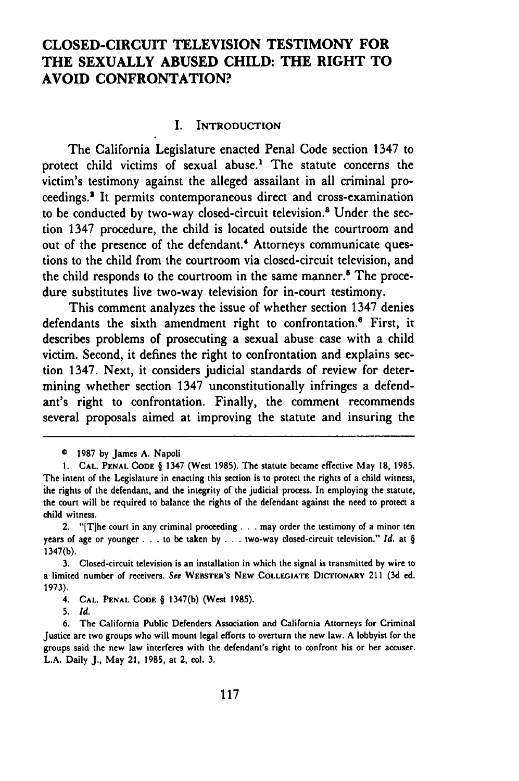# **CLOSED-CIRCUIT TELEVISION TESTIMONY FOR THE SEXUALLY ABUSED CHILD: THE RIGHT TO AVOID CONFRONTATION?**

#### **I. INTRODUCTION**

The California Legislature enacted Penal Code section 1347 to protect child victims of sexual abuse.' The statute concerns the victim's testimony against the alleged assailant in all criminal proceedings.2 It permits contemporaneous direct and cross-examination to be conducted **by** two-way closed-circuit television.' Under the section 1347 procedure, the child is located outside the courtroom and out of the presence of the defendant.<sup>4</sup> Attorneys communicate questions to the child from the courtroom via closed-circuit television, and the child responds to the courtroom in the same manner.<sup>5</sup> The procedure substitutes live two-way television for in-court testimony.

This comment analyzes the issue of whether section 1347 denies defendants the sixth amendment right to confrontation.<sup>6</sup> First, it describes problems of prosecuting a sexual abuse case with a child victim. Second, it defines the right to confrontation and explains section 1347. Next, it considers judicial standards of review for determining whether section 1347 unconstitutionally infringes a defendant's right to confrontation. Finally, the comment recommends several proposals aimed at improving the statute and insuring the

<sup>©</sup> **1987 by** James **A.** Napoli

**<sup>1.</sup> CAL. PENAL CODE** § 1347 (West **1985).** The statute became effective May **18, 1985.** The intent of the Legislature in enacting this section is to protect the rights of a child witness, ihe rights of the defendant, and the integrity of the judicial process. In employing the statute, the court will be required to balance the rights of the defendant against the need to protect a child witness.

<sup>2. &</sup>quot;[Tlhe court in any criminal proceeding **...** may order the testimony of a minor ten years of age or younger **. . .** to be taken **by . . .** two-way closed-circuit television." *Id.* at § 1347(b).

**<sup>3.</sup>** Closed-circuit television is an installation in which the signal is transmitted **by** wire to a limited number of receivers. *See* **WEBSTER'S NEW COLLEGIATE DICTIONARY** 211 **(3d** ed. **1973).**

<sup>4.</sup> **CAL. PENAL CODE** § 1347(b) (West 1985).

**<sup>5.</sup> Id.**

<sup>6.</sup> The California Public Defenders Association and California Attorneys for Criminal Justice are two groups who will mount legal efforts to overturn the new law. A lobbyist for the groups said the new law interferes with the defendant's right to confront his or her accuser. L.A. Daily J., May 21, **1985,** at 2, col. **3.**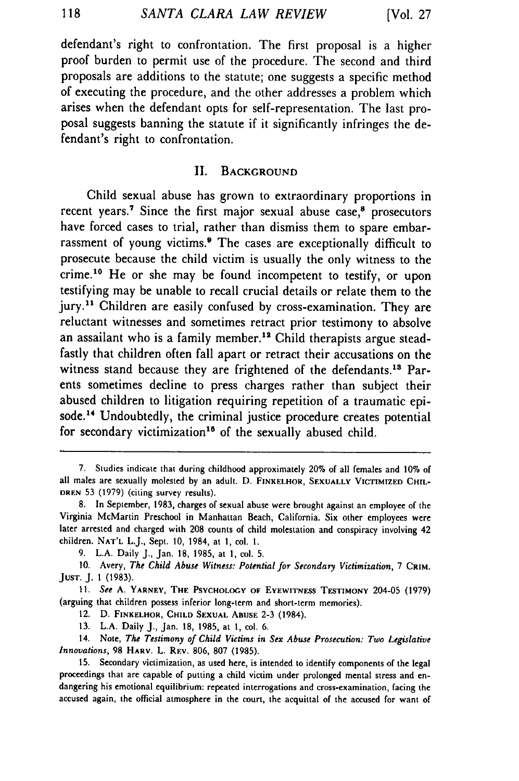defendant's right to confrontation. The first proposal is a higher proof burden to permit use of the procedure. The second and third proposals are additions to the statute; one suggests a specific method of executing the procedure, and the other addresses a problem which arises when the defendant opts for self-representation. The last proposal suggests banning the statute if it significantly infringes the defendant's right to confrontation.

#### II. **BACKGROUND**

Child sexual abuse has grown to extraordinary proportions in recent years.<sup>7</sup> Since the first major sexual abuse case, $8$  prosecutors have forced cases to trial, rather than dismiss them to spare embarrassment of young victims.9 The cases are exceptionally difficult to prosecute because the child victim is usually the only witness to the crime.10 He or she may be found incompetent to testify, or upon testifying may be unable to recall crucial details or relate them to the jury.<sup>11</sup> Children are easily confused by cross-examination. They are reluctant witnesses and sometimes retract prior testimony to absolve an assailant who is a family member.<sup>12</sup> Child therapists argue steadfastly that children often fall apart or retract their accusations on the witness stand because they are frightened of the defendants.<sup>13</sup> Parents sometimes decline to press charges rather than subject their abused children to litigation requiring repetition of a traumatic episode.<sup>14</sup> Undoubtedly, the criminal justice procedure creates potential for secondary victimization<sup>15</sup> of the sexually abused child.

7. Studies indicate that during childhood approximately 20% of all females and 10% of all males are sexually molested by an adult. D. **FINKELHOR, SEXUALLY** VICTIMIZED **CHIL-DREN 53** (1979) (citing survey results).

12. D. FINKELHOR, **CHILD SEXUAL ABUSE 2-3** (1984).

**13.** L.A. Daily J., Jan. **18, 1985,** at **1,** col. 6.

14. Note, The Testimony of Child Victims in Sex Abuse *Prosecution:* Two Legislative Innovations, **98** HARV. L. REV. 806, **807** (1985).

15. Secondary victimization, as used here, is intended to identify components of the legal proceedings that are capable of putting a child victim under prolonged mental stress and endangering his emotional equilibrium: repeated interrogations and cross-examination, facing the accused again, the official atmosphere in the court, the acquittal of the accused for want of

**<sup>8.</sup>** In September, **1983,** charges of sexual abuse were brought against an employee of the Virginia McMartin Preschool in Manhattan Beach, California. Six other employees were later arrested and charged with **208** counts of child molestation and conspiracy involving 42 children. **NAT'L** L.J., Sept. **10,** 1984, at **1,** col. 1.

<sup>9.</sup> L.A. Daily **J.,** Jan. **18, 1985,** at **1,** col. **5.**

**<sup>10.</sup>** Avery, *The Child Abuse Witness: Potential for Secondary Victimization,* 7 **CRIM. JUST.** J. 1 (1983).

**<sup>11.</sup>** See A. **YARNEY,** THE **PSYCHOLOGY OF** EYEWITNESS **TESTIMONY** 204-05 (1979) (arguing that children possess inferior long-term and short-term memories).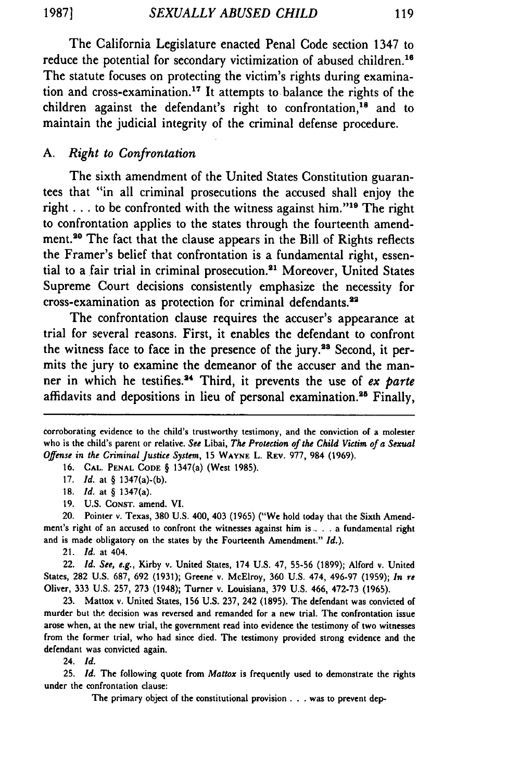The California Legislature enacted Penal Code section 1347 to reduce the potential for secondary victimization of abused children.<sup>16</sup> The statute focuses on protecting the victim's rights during examination and cross-examination.<sup>17</sup> It attempts to balance the rights of the children against the defendant's right to confrontation,<sup>18</sup> and to maintain the judicial integrity of the criminal defense procedure.

# *A. Right to Confrontation*

The sixth amendment of the United States Constitution guarantees that "in all criminal prosecutions the accused shall enjoy the right . . . to be confronted with the witness against him."<sup>19</sup> The right to confrontation applies to the states through the fourteenth amendment.<sup>20</sup> The fact that the clause appears in the Bill of Rights reflects the Framer's belief that confrontation is a fundamental right, essential to a fair trial in criminal prosecution.<sup>21</sup> Moreover, United States Supreme Court decisions consistently emphasize the necessity for cross-examination as protection for criminal defendants.<sup>22</sup>

The confrontation clause requires the accuser's appearance at trial for several reasons. First, it enables the defendant to confront the witness face to face in the presence of the jury.<sup>28</sup> Second, it permits the jury to examine the demeanor of the accuser and the manner in which he testifies.<sup>24</sup> Third, it prevents the use of *ex parte* affidavits and depositions in lieu of personal examination.<sup>25</sup> Finally,

16. **CAL. PENAL CODE** § 1347(a) (West 1985).

17. *Id.* at § 1347(a)-(b).

18. *Id.* at § 1347(a).

19. U.S. CONST. amend. VI.

21. *Id.* at 404.

22. *Id. See, e.g.,* Kirby v. United States, 174 U.S. 47, **55-56** (1899); Alford v. United States, **282** U.S. **687,** 692 (1931); Greene v. McElroy, **360** U.S. 474, 496-97 (1959); *In re* Oliver, **333** U.S. 257, **273** (1948); Turner v. Louisiana, **379** U.S. 466, **472-73** (1965).

**23.** Mattox v. United States, **156** U.S. **237,** 242 (1895). The defendant was convicted of murder but the decision was reversed and remanded for a new trial. The confrontation issue arose when, at the new trial, the government read into evidence the testimony of two witnesses from the former trial, who had since died. The testimony provided strong evidence and the defendant was convicted again.

24. *Id.*

**25.** *Id.* The following quote from *Mattox* is frequently used to demonstrate the rights under the confrontation clause:

The primary object of the constitutional provision **. . .** was to prevent dep-

corroborating evidence to the child's trustworthy testimony, and the **conviction of** a molester who is the child's parent or relative. *See* Libai, *The Protection of the Child Victim of a Sexual Offense in the* Criminal *Justice System,* **15 WAYNE** L. REV. 977, 984 (1969).

<sup>20.</sup> Pointer v. Texas, **380** U.S. 400, 403 (1965) ("We hold today that the Sixth Amendment's right of an accused to confront the witnesses against him is. . . a fundamental right and is made obligatory on the states **by** the Fourteenth Amendment." *Id.).*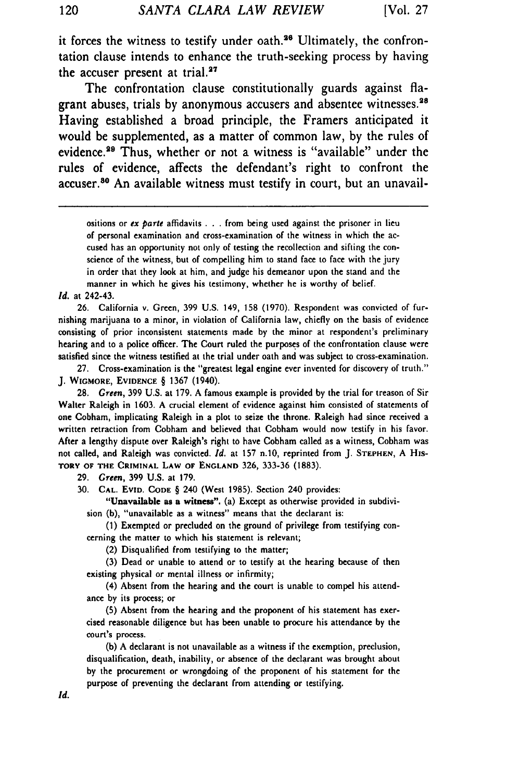it forces the witness to testify under oath.<sup>26</sup> Ultimately, the confrontation clause intends to enhance the truth-seeking process by having the accuser present at trial. $27$ 

The confrontation clause constitutionally guards against flagrant abuses, trials by anonymous accusers and absentee witnesses.<sup>28</sup> Having established a broad principle, the Framers anticipated it would be supplemented, as a matter of common law, by the rules of evidence.<sup>29</sup> Thus, whether or not a witness is "available" under the rules of evidence, affects the defendant's right to confront the accuser.<sup>80</sup> An available witness must testify in court, but an unavail-

ositions or *ex parte* affidavits . . . from being used against the prisoner in lieu of personal examination and cross-examination of the witness in which the accused has an opportunity not only of testing the recollection and sifting the conscience of the witness, but of compelling him to stand face to face with the jury in order that they look at him, and judge his demeanor upon the stand and the manner in which he gives his testimony, whether he is worthy of belief.

#### *Id.* at 242-43.

**26.** California v. Green, **399** U.S. 149, **158** (1970). Respondent was convicted of furnishing marijuana to a minor, in violation of California law, chiefly on the basis of evidence consisting of prior inconsistent statements made **by** the minor at respondent's preliminary hearing and to a police officer. The Court ruled the purposes of the confrontation clause were satisfied since the witness testified at the trial under oath and was subject to cross-examination.

**27.** Cross-examination is the "greatest legal engine ever invented for discovery of truth." **J. WIGMORE,** EVIDENCE § 1367 (1940).

28. Green, **399** U.S. at 179. A famous example is provided by the trial for treason of Sir Walter Raleigh in 1603. A crucial element of evidence against him consisted of statements of one Cobham, implicating Raleigh in a plot to seize the throne. Raleigh had since received a written retraction from Cobham and believed that Cobham would now testify in his favor. After a lengthy dispute over Raleigh's right to have Cobham called as a witness, Cobham was not called, and Raleigh was convicted. **Id.** at **157** n.10, reprinted from J. **STEPHEN,** A His-**TORY OF THE CRIMINAL LAW OF ENGLAND 326, 333-36 (1883).**

**29.** Green, **399** U.S. at 179.

**30. CAL. EVID. CODE** § 240 (West 1985). Section 240 provides:

"Unavailable as a **witness".** (a) Except as otherwise provided in subdivision (b), "unavailable as a witness" means that the declarant is:

**(1)** Exempted or precluded on the ground of privilege from testifying concerning the matter to which his statement is relevant;

(2) Disqualified from testifying to the matter;

**(3)** Dead or unable to attend or to testify at the hearing because of then existing physical or mental illness or infirmity;

(4) Absent from the hearing and the court is unable to compel his attendance **by** its process; or

**(5)** Absent from the hearing and the proponent of his statement has exercised reasonable diligence but has been unable to procure his attendance **by** the court's process.

**(b)** A declarant is not unavailable as a witness if the exemption, preclusion, disqualification, death, inability, or absence of the declarant was brought about **by** the procurement or wrongdoing of the proponent of his statement for the purpose of preventing the declarant from attending or testifying.

120

Id.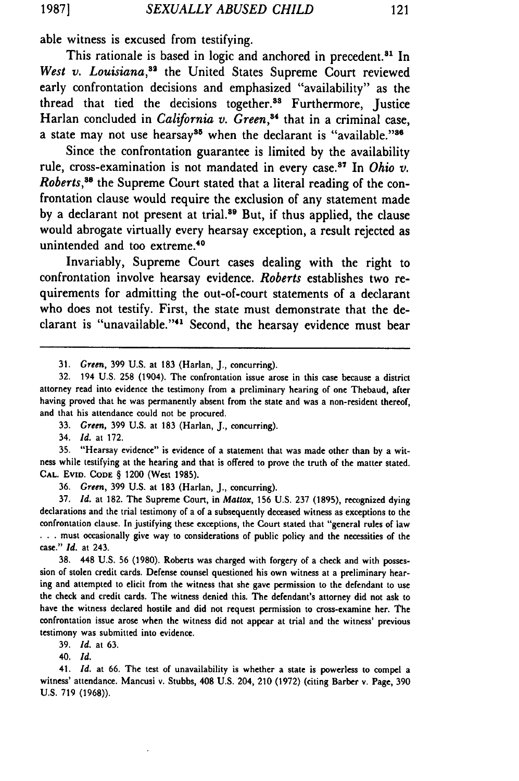able witness is excused from testifying.

This rationale is based in logic and anchored in precedent.<sup>81</sup> In *West v. Louisiana,"2* the United States Supreme Court reviewed early confrontation decisions and emphasized "availability" as the thread that tied the decisions together.<sup>33</sup> Furthermore, Justice Harlan concluded in *California v. Green*,<sup>34</sup> that in a criminal case, a state may not use hearsay<sup>35</sup> when the declarant is "available."<sup>36</sup>

Since the confrontation guarantee is limited by the availability rule, cross-examination is not mandated in every case. 87 In *Ohio v. Roberts,88* the Supreme Court stated that a literal reading of the confrontation clause would require the exclusion of any statement made by a declarant not present at trial.<sup>39</sup> But, if thus applied, the clause would abrogate virtually every hearsay exception, a result rejected as unintended and too extreme.40

Invariably, Supreme Court cases dealing with the right to confrontation involve hearsay evidence. *Roberts* establishes two requirements for admitting the out-of-court statements of a declarant who does not testify. First, the state must demonstrate that the declarant is "unavailable."<sup>41</sup> Second, the hearsay evidence must bear

34. *Id.* at **172.**

**35.** "Hearsay evidence" is evidence of a statement that was made other than **by** a witness while testifying at the hearing and that is offered to prove the truth of the matter stated. **CAL.** EvID. **CODE** § 1200 (West 1985).

**36.** *Green,* **399** U.S. at **183** (Harlan, J., concurring).

**37.** *Id.* at 182. The Supreme Court, in *Mattox,* **156** U.S. **237** (1895), recognized dying declarations and the trial testimony of a of a subsequently deceased witness as exceptions to the confrontation clause. In justifying these exceptions, the Court stated that "general rules of law **.. .** must occasionally give way to considerations of public policy and the necessities of the case." *Id.* at 243.

**38.** 448 U.S. **56** (1980). Roberts was charged with forgery of a check and with possession of stolen credit cards. Defense counsel questioned his own witness at a preliminary hearing and attempted to elicit from the witness that she gave permission to the defendant to use the check and credit cards. The witness denied this. The defendant's attorney did not ask to have the witness declared hostile and did not request permission to cross-examine her. The confrontation issue arose when the witness did not appear at trial and the witness' previous testimony was submitted into evidence.

**39.** *Id.* at **63.**

40. **Id.**

41. **Id.** at 66. The test of unavailability is whether a state is powerless to compel a witness' attendance. Mancusi v. Stubbs, 408 U.S. 204, 210 (1972) (citing Barber v. Page, 390 U.S. 719 (1968)).

<sup>31.</sup> *Green,* 399 U.S. at **183** (Harlan, J., concurring).

<sup>32. 194</sup> U.S. 258 (1904). The confrontation issue arose in this case because a district attorney read into evidence the testimony from a preliminary hearing of one Thebaud, after having proved that he was permanently absent from the state and was a non-resident thereof, and that his attendance could not be procured.

**<sup>33.</sup>** *Green,* **399** U.S. at **183** (Harlan, **J.,** concurring).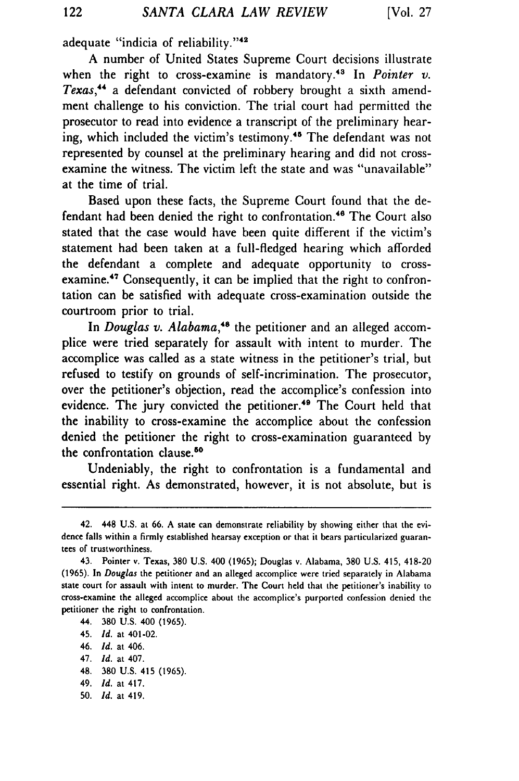adequate "indicia of reliability."<sup>42</sup>

A number of United States Supreme Court decisions illustrate when the right to cross-examine is mandatory.<sup>43</sup> In *Pointer v. Texas,"* a defendant convicted of robbery brought a sixth amendment challenge to his conviction. The trial court had permitted the prosecutor to read into evidence a transcript of the preliminary hearing, which included the victim's testimony.<sup>45</sup> The defendant was not represented by counsel at the preliminary hearing and did not crossexamine the witness. The victim left the state and was "unavailable" at the time of trial.

Based upon these facts, the Supreme Court found that the defendant had been denied the right to confrontation.<sup>46</sup> The Court also stated that the case would have been quite different if the victim's statement had been taken at a full-fledged hearing which afforded the defendant a complete and adequate opportunity to crossexamine.<sup>47</sup> Consequently, it can be implied that the right to confrontation can be satisfied with adequate cross-examination outside the courtroom prior to trial.

In *Douglas v. Alabama*,<sup>48</sup> the petitioner and an alleged accomplice were tried separately for assault with intent to murder. The accomplice was called as a state witness in the petitioner's trial, but refused to testify on grounds of self-incrimination. The prosecutor, over the petitioner's objection, read the accomplice's confession into evidence. The jury convicted the petitioner.<sup>49</sup> The Court held that the inability to cross-examine the accomplice about the confession denied the petitioner the right to cross-examination guaranteed by the confrontation clause.50

Undeniably, the right to confrontation is a fundamental and essential right. As demonstrated, however, it is not absolute, but is

- 48. **380 U.S.** 415 **(1965).**
- 49. *Id.* at 417.
- **50.** *Id.* at 419.

<sup>42. 448</sup> **U.S.** at **66. A** state can demonstrate reliability **by** showing either that the evidence falls within a firmly established hearsay exception or that it bears particularized guarantees of trustworthiness.

<sup>43.</sup> Pointer v. Texas, **380 U.S.** 400 **(1965);** Douglas v. Alabama, **380 U.S.** 415, 418-20 **(1965).** In *Douglas* the petitioner and an alleged accomplice were tried separately in Alabama state court for assault with intent to murder. The Court held that the petitioner's inability to cross-examine the alleged accomplice about the accomplice's purported confession denied the petitioner the right to confrontation.

<sup>44.</sup> **380 U.S.** 400 **(1965).**

<sup>45.</sup> *Id.* at 401-02.

<sup>46.</sup> *d.* at 406.

<sup>47.</sup> *Id.* at 407.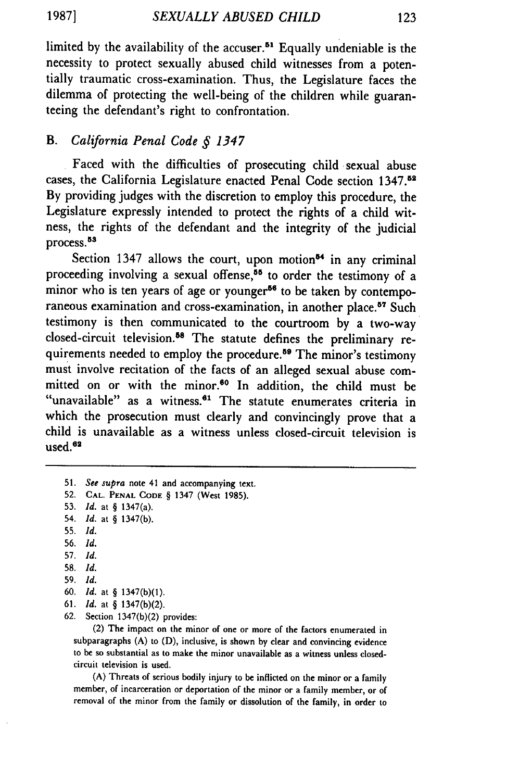limited by the availability of the accuser.<sup>51</sup> Equally undeniable is the necessity to protect sexually abused child witnesses from a potentially traumatic cross-examination. Thus, the Legislature faces the dilemma of protecting the well-being of the children while guaranteeing the defendant's right to confrontation.

# B. *California Penal Code § 1347*

Faced with the difficulties of prosecuting child sexual abuse cases, the California Legislature enacted Penal Code section 1347.<sup>5</sup> By providing judges with the discretion to employ this procedure, the Legislature expressly intended to protect the rights of a child witness, the rights of the defendant and the integrity of the judicial process.<sup>53</sup>

Section 1347 allows the court, upon motion<sup>54</sup> in any criminal proceeding involving a sexual offense,<sup>55</sup> to order the testimony of a minor who is ten years of age or younger<sup>56</sup> to be taken by contemporaneous examination and cross-examination, in another place.<sup>57</sup> Such testimony is then communicated to the courtroom by a two-way closed-circuit television.55 The statute defines the preliminary requirements needed to employ the procedure.<sup>59</sup> The minor's testimony must involve recitation of the facts of an alleged sexual abuse committed on or with the minor.<sup>60</sup> In addition, the child must be "unavailable" as a witness.<sup>61</sup> The statute enumerates criteria in which the prosecution must clearly and convincingly prove that a child is unavailable as a witness unless closed-circuit television is  $used.<sup>62</sup>$ 

- 54. *Id.* at § 1347(b).
- 55. *Id.*
- 56. *Id.*
- 57. *Id.*
- 58. *Id.*
- 59. *Id.*
- 60. *Id.* at § 1347(b)(1).
- 61. *Id.* at § 1347(b)(2).
- 62. Section 1347(b)(2) provides:

(2) The impact on the minor of one or more of the factors enumerated in subparagraphs (A) to (D), inclusive, is shown by clear and convincing evidence to be so substantial as to make the minor unavailable as a witness unless closedcircuit television is used.

(A) Threats of serious bodily injury to be inflicted on the minor or a family member, of incarceration or deportation of the minor or a family member, or of removal of the minor from the family or dissolution of the family, in order to

<sup>51.</sup> *See supra* note 41 and accompanying text.

<sup>52.</sup> **CAL. PENAL CODE** § 1347 (West 1985).

<sup>53.</sup> *Id.* at § 1347(a).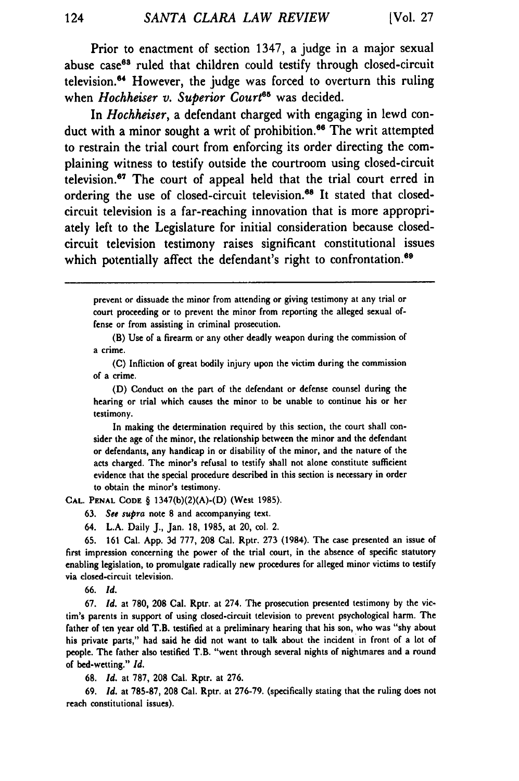Prior to enactment of section 1347, a judge in a major sexual abuse case<sup>63</sup> ruled that children could testify through closed-circuit television.<sup>64</sup> However, the judge was forced to overturn this ruling when *Hochheiser v. Superior Court<sup>65</sup>* was decided.

In *Hochheiser,* a defendant charged with engaging in lewd conduct with a minor sought a writ of prohibition.<sup>66</sup> The writ attempted to restrain the trial court from enforcing its order directing the complaining witness to testify outside the courtroom using closed-circuit television.<sup>67</sup> The court of appeal held that the trial court erred in ordering the use of closed-circuit television.<sup>68</sup> It stated that closedcircuit television is a far-reaching innovation that is more appropriately left to the Legislature for initial consideration because closedcircuit television testimony raises significant constitutional issues which potentially affect the defendant's right to confrontation.<sup>69</sup>

prevent or dissuade the minor from attending or giving testimony at any trial or court proceeding or to prevent the minor from reporting the alleged sexual offense or from assisting in criminal prosecution.

(B) Use of a firearm or any other deadly weapon during the commission of a crime.

(C) Infliction of great bodily injury upon the victim during the commission of a crime.

(D) Conduct on the part of the defendant or defense counsel during the hearing or trial which causes the minor to be unable to continue his or her testimony.

In making the determination required by this section, the court shall consider the age of the minor, the relationship between the minor and the defendant or defendants, any handicap in or disability of the minor, and the nature of the acts charged. The minor's refusal to testify shall not alone constitute sufficient evidence that the special procedure described in this section is necessary in order to obtain the minor's testimony.

**CAL. PENAL CODE** § 1347(b)(2)(A)-(D) (West 1985).

**63.** *See supra* note **8** and accompanying text.

64. L.A. Daily **J.,** Jan. 18, 1985, at 20, col. 2.

**65.** 161 Cal. App. **3d 777,** 208 Cal. Rptr. **273** (1984). The case presented an issue of first impression concerning the power of the trial court, in the absence of specific statutory enabling legislation, to promulgate radically new procedures for alleged minor victims to testify via closed-circuit television.

66. *Id.*

67. *Id.* at **780, 208** Cal. Rptr. at 274. The prosecution presented testimony **by** the vic, tim's parents in support of using closed-circuit television to prevent psychological harm. The father of ten year old T.B. testified at a preliminary hearing that his son, who was "shy about his private parts," had said he did not want to talk about the incident in front of a lot of people. The father also testified T.B. "went through several nights of nightmares and a round of bed-wetting." *Id.*

68. *Id.* at 787, **208** Cal. Rptr. at **276.**

69. *Id.* at **785-87, 208** Cal. Rptr. at 276-79. (specifically stating that the ruling does not reach constitutional issues).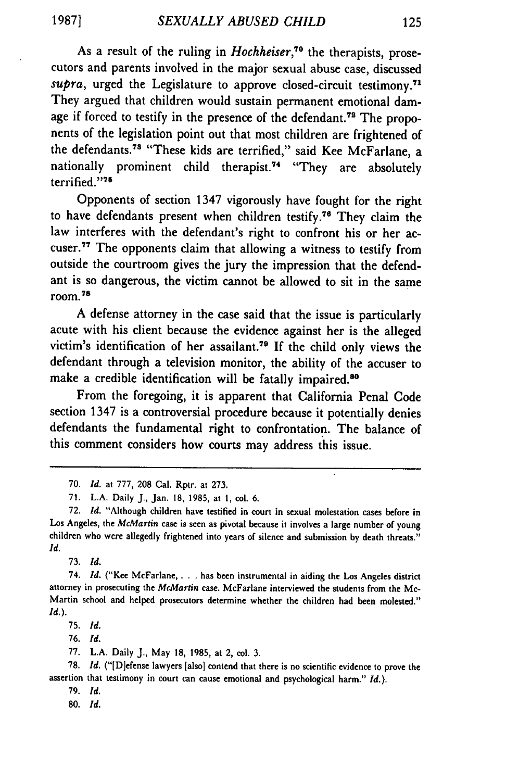As a result of the ruling in *Hochheiser*,<sup>70</sup> the therapists, prosecutors and parents involved in the major sexual abuse case, discussed *supra*, urged the Legislature to approve closed-circuit testimony.<sup>71</sup> They argued that children would sustain permanent emotional damage if forced to testify in the presence of the defendant.<sup>78</sup> The proponents of the legislation point out that most children are frightened of the defendants.<sup>73</sup> "These kids are terrified," said Kee McFarlane, a nationally prominent child therapist.<sup>74</sup> "They are absolutely terrified."'75

Opponents of section 1347 vigorously have fought for the right to have defendants present when children testify."6 They claim the law interferes with the defendant's right to confront his or her accuser. 77 The opponents claim that allowing a witness to testify from outside the courtroom gives the jury the impression that the defendant is so dangerous, the victim cannot be allowed to sit in the same room. **78**

A defense attorney in the case said that the issue is particularly acute with his client because the evidence against her is the alleged victim's identification of her assailant.<sup>79</sup> If the child only views the defendant through a television monitor, the ability of the accuser to make a credible identification will be fatally impaired.<sup>86</sup>

From the foregoing, it is apparent that California Penal Code section 1347 is a controversial procedure because it potentially denies defendants the fundamental right to confrontation. The balance of this comment considers how courts may address this issue.

**73.** *Id.*

74. *Id.* ("Kee McFarlane, **.** has been instrumental in aiding the **Los** Angeles district attorney in prosecuting the *McMartin* case. McFarlane interviewed the students from the Mc-Martin school and helped prosecutors determine whether the children had been molested." *Id.).*

**75.** *Id.*

76. *Id.*

**77.** L.A. Daily **J.,** May 18, 1985, at 2, col. **3.**

78. *Id.* ("[D]efense lawyers [also] contend that there is no scientific evidence to prove the assertion that testimony in court can cause emotional and psychological harm." *Id.).*

**79.** *Id.*

**80.** *Id.*

**<sup>70.</sup>** *Id.* at **777, 208** Cal. Rptr. at **273.**

**<sup>71.</sup> L.A.** Daily **J.,** Jan. **18, 1985,** at **1,** col. **6.**

**<sup>72.</sup>** *Id.* "Although children have testified in court in sexual molestation cases before in Los Angeles, the *McMartin* case is seen as pivotal because **it** involves a large number of young children who were allegedly frightened into years of silence and submission **by** death threats." *Id.*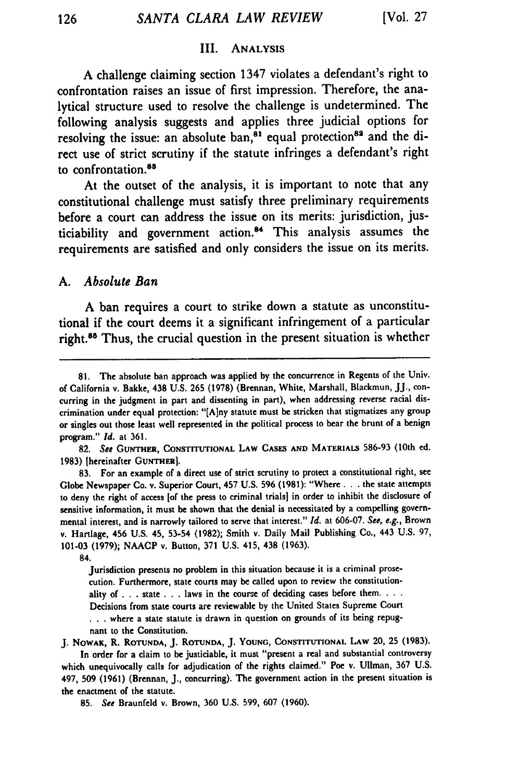#### III. **ANALYSIS**

**A** challenge claiming section 1347 violates a defendant's right to confrontation raises an issue of first impression. Therefore, the analytical structure used to resolve the challenge is undetermined. The following analysis suggests and applies three judicial options for resolving the issue: an absolute ban,<sup>81</sup> equal protection<sup>82</sup> and the direct use of strict scrutiny if the statute infringes a defendant's right to confrontation.88

At the outset of the analysis, it is important to note that any constitutional challenge must satisfy three preliminary requirements before a court can address the issue on its merits: jurisdiction, justiciability and government action.<sup>84</sup> This analysis assumes the requirements are satisfied and only considers the issue on its merits.

#### *A. Absolute Ban*

**A** ban requires a court to strike down a statute as unconstitutional if the court deems it a significant infringement of a particular right.<sup>85</sup> Thus, the crucial question in the present situation is whether

82. *See* **GUNTHER, CONSTITUTIONAL** LAW **CASES AND** MATERIALS **586-93** (10th ed. 1983) [hereinafter **GUNTHER].**

**83.** For an example of a direct use of strict scrutiny to protect a constitutional right, see Globe Newspaper Co. v. Superior Court, 457 U.S. **596** (1981): "Where **...** the state attempts to deny the right of access [of the press to criminal trials] in order to inhibit the disclosure of sensitive information, it must be shown that the denial is necessitated by a compelling governmental interest, and is narrowly tailored to serve that interest." **Id.** at 606-07. See, e.g., Brown v. Hartlage, 456 U.S. 45, **53-54** (1982); Smith v. Daily Mail Publishing Co., 443 U.S. **97, 101-03** (1979); NAACP v. Button, **371** U.S. 415, 438 (1963).

84.

Jurisdiction presents no problem in this situation because it is a criminal prosecution. Furthermore, state courts may be called upon to review the constitutionality of **. .** . state . **.** . laws in the course of deciding cases before them. **...** Decisions from state courts are reviewable by the United States Supreme Court **. . .** where a state statute is drawn in question on grounds of its being repugnant to the Constitution.

J. NOWAx, R. **ROTUNDA,** J. **ROTUNDA,** J. **YOUNG,** CONSTITUTIONAL LAW 20, **25 (1983).** In order for a claim to be justiciable, it must "present a real and substantial controversy

which unequivocally calls for adjudication of the rights claimed." Poe v. Ullman, **367** U.S. 497, **509 (1961)** (Brennan, J., concurring). The government action in the present situation is the enactment of the statute.

**<sup>81.</sup>** The absolute ban approach was applied **by** the concurrence in Regents of the Univ. of California v. Bakke, 438 **U.S. 265 (1978)** (Brennan, White, Marshall, Blackmun, **JJ.,** concurring in the judgment in part and dissenting in part), when addressing reverse racial discrimination under equal protection: "[A]ny statute must **be** stricken that stigmatizes any group or singles out those least well represented in the political process to bear the brunt of a benign program." *Id.* at **361.**

**<sup>85.</sup>** See Braunfeld v. Brown, **360 U.S.** 599, **607 (1960).**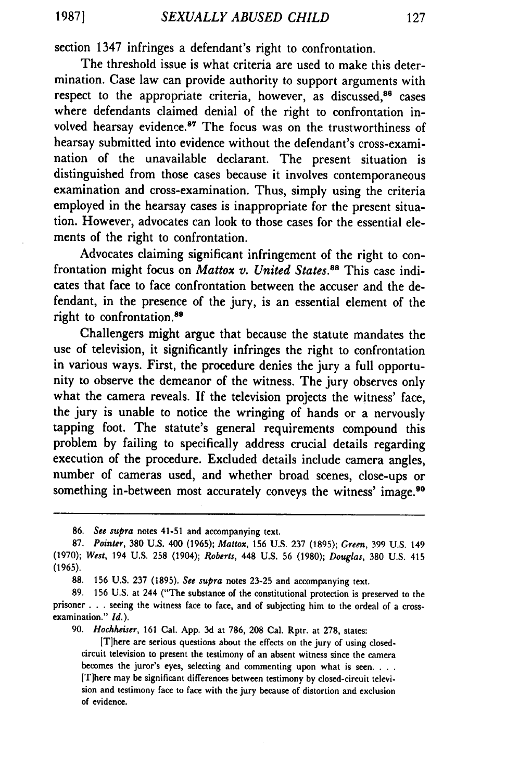section 1347 infringes a defendant's right to confrontation.

The threshold issue is what criteria are used to make this determination. Case law can provide authority to support arguments with respect to the appropriate criteria, however, as discussed,<sup>86</sup> cases where defendants claimed denial of the right to confrontation involved hearsay evidence.<sup>87</sup> The focus was on the trustworthiness of hearsay submitted into evidence without the defendant's cross-examination of the unavailable declarant. The present situation is distinguished from those cases because it involves contemporaneous examination and cross-examination. Thus, simply using the criteria employed in the hearsay cases is inappropriate for the present situation. However, advocates can look to those cases for the essential elements of the right to confrontation.

Advocates claiming significant infringement of the right to confrontation might focus on *Mattox v. United States.<sup>88</sup>* This case indicates that face to face confrontation between the accuser and the defendant, in the presence of the jury, is an essential element of the right to confrontation.<sup>89</sup>

Challengers might argue that because the statute mandates the use of television, it significantly infringes the right to confrontation in various ways. First, the procedure denies the jury a full opportunity to observe the demeanor of the witness. The jury observes only what the camera reveals. If the television projects the witness' face, the jury is unable to notice the wringing of hands or a nervously tapping foot. The statute's general requirements compound this problem by failing to specifically address crucial details regarding execution of the procedure. Excluded details include camera angles, number of cameras used, and whether broad scenes, close-ups or something in-between most accurately conveys the witness' image.<sup>90</sup>

86. *See supra* notes 41-51 and accompanying text.

88. 156 U.S. 237 (1895). *See supra* notes 23-25 and accompanying text.

90. *Hochheiser,* 161 Cal. App. 3d at 786, 208 Cal. Rptr. at 278, states:

[T]here are serious questions about the effects on the jury of using closedcircuit television to present the testimony of an absent witness since the camera becomes the juror's eyes, selecting and commenting upon what is seen. **...** [Tihere may be significant differences between testimony by closed-circuit television and testimony face to face with the jury because of distortion and exclusion of evidence.

<sup>87.</sup> *Pointer,* 380 U.S. 400 (1965); *Mattox,* 156 U.S. **237** (1895); *Green,* 399 U.S. 149 (1970); *West,* 194 U.S. **258** (1904); *Roberts,* 448 U.S. 56 (1980); *Douglas,* **380** U.S. 415 (1965).

<sup>89. 156</sup> U.S. at 244 ("The substance of the constitutional protection is preserved to the prisoner **. . .** seeing the witness face to face, and of subjecting him to the ordeal of a crossexamination." *Id.).*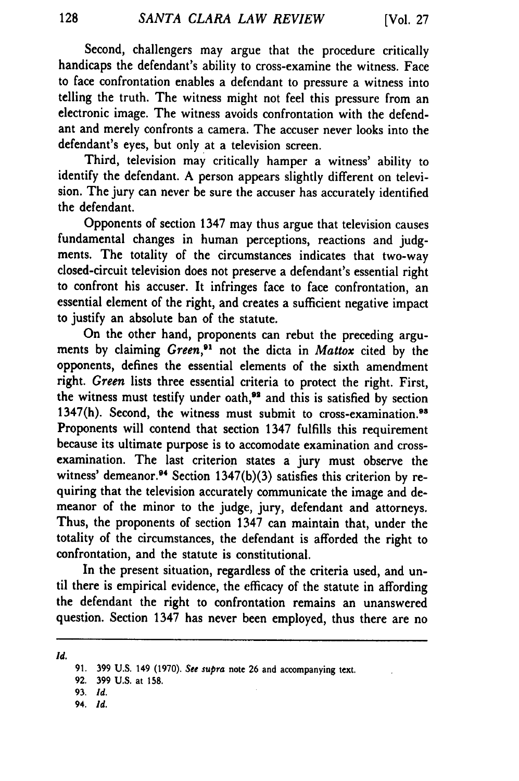Second, challengers may argue that the procedure critically handicaps the defendant's ability to cross-examine the witness. Face to face confrontation enables a defendant to pressure a witness into telling the truth. The witness might not feel this pressure from an electronic image. The witness avoids confrontation with the defendant and merely confronts a camera. The accuser never looks into the defendant's eyes, but only at a television screen.

Third, television may critically hamper a witness' ability to identify the defendant. A person appears slightly different on television. The jury can never be sure the accuser has accurately identified the defendant.

Opponents of section 1347 may thus argue that television causes fundamental changes in human perceptions, reactions and judgments. The totality of the circumstances indicates that two-way closed-circuit television does not preserve a defendant's essential right to confront his accuser. It infringes face to face confrontation, an essential element of the right, and creates a sufficient negative impact to justify an absolute ban of the statute.

On the other hand, proponents can rebut the preceding arguments by claiming *Green,91* not the dicta in *Mattox* cited by the opponents, defines the essential elements of the sixth amendment right. *Green* lists three essential criteria to protect the right. First, the witness must testify under oath,<sup>92</sup> and this is satisfied by section 1347(h). Second, the witness must submit to cross-examination.<sup>98</sup> Proponents will contend that section 1347 fulfills this requirement because its ultimate purpose is to accomodate examination and crossexamination. The last criterion states a jury must observe the witness' demeanor.<sup>94</sup> Section 1347(b)(3) satisfies this criterion by requiring that the television accurately communicate the image and demeanor of the minor to the judge, jury, defendant and attorneys. Thus, the proponents of section 1347 can maintain that, under the totality of the circumstances, the defendant is afforded the right to confrontation, and the statute is constitutional.

In the present situation, regardless of the criteria used, and until there is empirical evidence, the efficacy of the statute in affording the defendant the right to confrontation remains an unanswered question. Section 1347 has never been employed, thus there are no

*Id.*

- **92. 399 U.S.** at **158.**
- **93.** *Id.*
- 94. *Id.*

**<sup>91. 399</sup>** U.S. 149 **(1970).** *See supra* note **26** and accompanying text.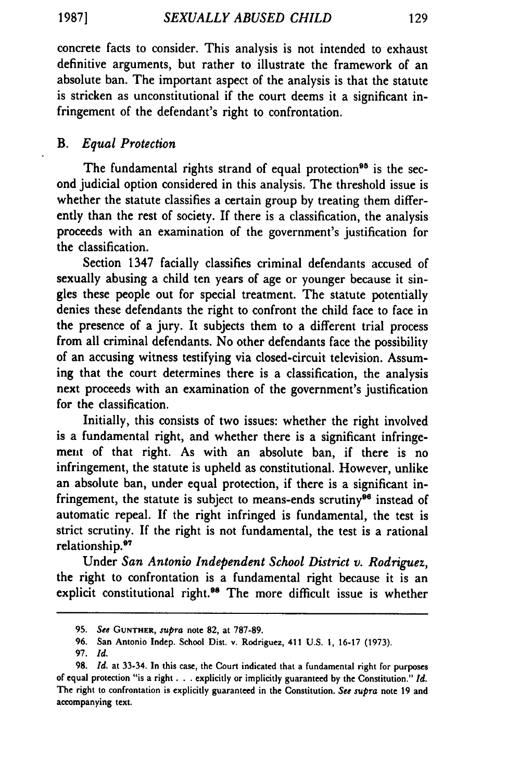**1987]**

concrete facts to consider. This analysis is not intended to exhaust definitive arguments, but rather to illustrate the framework of an absolute ban. The important aspect of the analysis is that the statute is stricken as unconstitutional if the court deems it a significant infringement of the defendant's right to confrontation.

# B. *Equal Protection*

The fundamental rights strand of equal protection<sup>95</sup> is the second judicial option considered in this analysis. The threshold issue is whether the statute classifies a certain group by treating them differently than the rest of society. If there is a classification, the analysis proceeds with an examination of the government's justification for the classification.

Section 1347 facially classifies criminal defendants accused of sexually abusing a child ten years of age or younger because it singles these people out for special treatment. The statute potentially denies these defendants the right to confront the child face to face in the presence of a jury. It subjects them to a different trial process from all criminal defendants. No other defendants face the possibility of an accusing witness testifying via closed-circuit television. Assuming that the court determines there is a classification, the analysis next proceeds with an examination of the government's justification for the classification.

Initially, this consists of two issues: whether the right involved is a fundamental right, and whether there is a significant infringement of that right. As with an absolute ban, if there is no infringement, the statute is upheld as constitutional. However, unlike an absolute ban, under equal protection, if there is a significant infringement, the statute is subject to means-ends scrutiny<sup>96</sup> instead of automatic repeal. If the right infringed is fundamental, the test is strict scrutiny. If the right is not fundamental, the test is a rational relationship.<sup>97</sup>

Under San *Antonio Independent School District v. Rodriguez,* the right to confrontation is a fundamental right because it is an explicit constitutional right.<sup>98</sup> The more difficult issue is whether

**<sup>95.</sup>** *See* **GUNTHER,** *supra* note 82, at 787-89.

<sup>96.</sup> San Antonio Indep. School Dist. v. Rodriguez, 411 U.S. 1, **16-17** (1973).

**<sup>97.</sup>** *Id.*

<sup>98.</sup> *Id.* at 33-34. In this case, the Court indicated that a fundamental right for purposes of equal protection "is a right **...** explicitly or implicitly guaranteed by the Constitution." *Id.* The right to confrontation is explicitly guaranteed in the Constitution. *See supra* note 19 and accompanying text.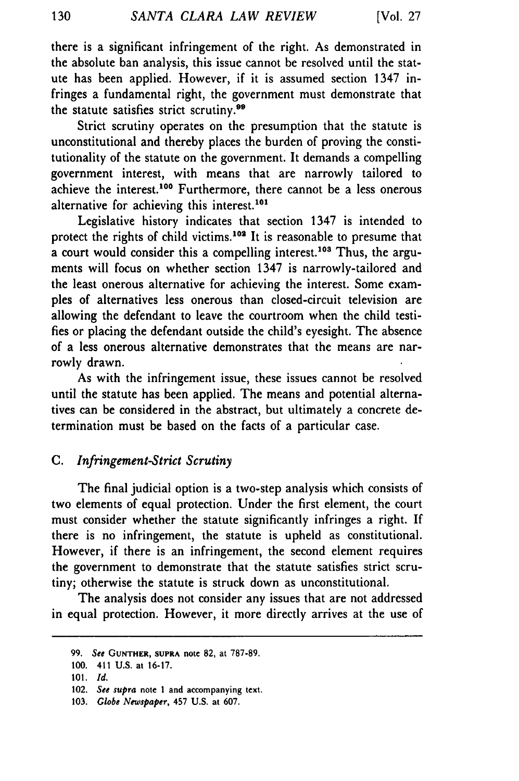there is a significant infringement of the right. As demonstrated in the absolute ban analysis, this issue cannot be resolved until the statute has been applied. However, if it is assumed section 1347 infringes a fundamental right, the government must demonstrate that the statute satisfies strict scrutiny.<sup>99</sup>

Strict scrutiny operates on the presumption that the statute is unconstitutional and thereby places the burden of proving the constitutionality of the statute on the government. It demands a compelling government interest, with means that are narrowly tailored to achieve the interest.<sup>100</sup> Furthermore, there cannot be a less onerous alternative for achieving this interest.<sup>101</sup>

Legislative history indicates that section 1347 is intended to protect the rights of child victims.<sup>102</sup> It is reasonable to presume that a court would consider this a compelling interest.<sup>103</sup> Thus, the arguments will focus on whether section 1347 is narrowly-tailored and the least onerous alternative for achieving the interest. Some examples of alternatives less onerous than closed-circuit television are allowing the defendant to leave the courtroom when the child testifies or placing the defendant outside the child's eyesight. The absence of a less onerous alternative demonstrates that the means are narrowly drawn.

As with the infringement issue, these issues cannot be resolved until the statute has been applied. The means and potential alternatives can be considered in the abstract, but ultimately a concrete determination must be based on the facts of a particular case.

# C. *Infringement-Strict Scrutiny*

The final judicial option is a two-step analysis which consists of two elements of equal protection. Under the first element, the court must consider whether the statute significantly infringes a right. If there is no infringement, the statute is upheld as constitutional. However, if there is an infringement, the second element requires the government to demonstrate that the statute satisfies strict scrutiny; otherwise the statute is struck down as unconstitutional.

The analysis does not consider any issues that are not addressed in equal protection. However, it more directly arrives at the use of

<sup>99.</sup> *See* **GUNTHER, SUPRA** note **82, at** 787-89.

<sup>100. 411</sup> U.S. **at** 16-17.

<sup>101.</sup> *Id.*

<sup>102.</sup> *See supra* note **1** and accompanying text.

<sup>103.</sup> Globe *Newspaper,* 457 U.S. at 607.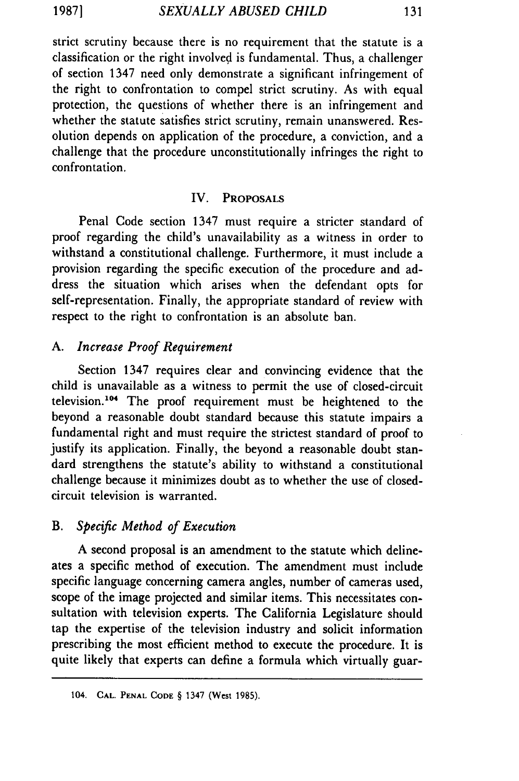strict scrutiny because there is no requirement that the statute is a classification or the right involved is fundamental. Thus, a challenger of section 1347 need only demonstrate a significant infringement of the right to confrontation to compel strict scrutiny. As with equal protection, the questions of whether there is an infringement and whether the statute satisfies strict scrutiny, remain unanswered. Resolution depends on application of the procedure, a conviction, and a challenge that the procedure unconstitutionally infringes the right to confrontation.

### IV. PROPOSALS

Penal Code section 1347 must require a stricter standard of proof regarding the child's unavailability as a witness in order to withstand a constitutional challenge. Furthermore, it must include a provision regarding the specific execution of the procedure and address the situation which arises when the defendant opts for self-representation. Finally, the appropriate standard of review with respect to the right to confrontation is an absolute ban.

# *A. Increase Proof Requirement*

Section 1347 requires clear and convincing evidence that the child is unavailable as a witness to permit the use of closed-circuit television.<sup>104</sup> The proof requirement must be heightened to the beyond a reasonable doubt standard because this statute impairs a fundamental right and must require the strictest standard of proof to justify its application. Finally, the beyond a reasonable doubt standard strengthens the statute's ability to withstand a constitutional challenge because it minimizes doubt as to whether the use of closedcircuit television is warranted.

# *B. Specific Method of Execution*

A second proposal is an amendment to the statute which delineates a specific method of execution. The amendment must include specific language concerning camera angles, number of cameras used, scope of the image projected and similar items. This necessitates consultation with television experts. The California Legislature should tap the expertise of the television industry and solicit information prescribing the most efficient method to execute the procedure. It is quite likely that experts can define a formula which virtually guar-

<sup>104.</sup> **CAL. PENAL CODE** § 1347 (West 1985).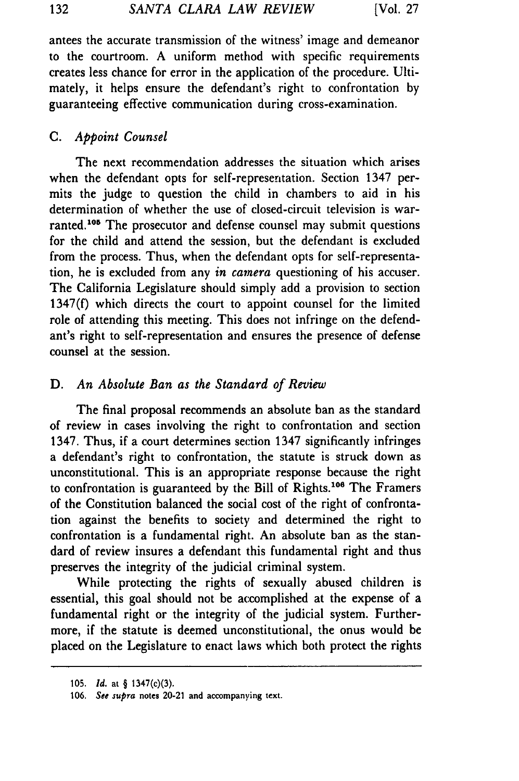antees the accurate transmission of the witness' image and demeanor to the courtroom. A uniform method with specific requirements creates less chance for error in the application of the procedure. Ultimately, it helps ensure the defendant's right to confrontation by guaranteeing effective communication during cross-examination.

# C. *Appoint Counsel*

The next recommendation addresses the situation which arises when the defendant opts for self-representation. Section 1347 permits the judge to question the child in chambers to aid in his determination of whether the use of closed-circuit television is warranted.<sup>105</sup> The prosecutor and defense counsel may submit questions for the child and attend the session, but the defendant is excluded from the process. Thus, when the defendant opts for self-representation, he is excluded from any *in* camera questioning of his accuser. The California Legislature should simply add a provision to section 1347(f) which directs the court to appoint counsel for the limited role of attending this meeting. This does not infringe on the defendant's right to self-representation and ensures the presence of defense counsel at the session.

# D. *An Absolute Ban as the Standard of Review*

The final proposal recommends an absolute ban as the standard of review in cases involving the right to confrontation and section 1347. Thus, if a court determines section 1347 significantly infringes a defendant's right to confrontation, the statute is struck down as unconstitutional. This is an appropriate response because the right to confrontation is guaranteed by the Bill of Rights.<sup>106</sup> The Framers of the Constitution balanced the social cost of the right of confrontation against the benefits to society and determined the right to confrontation is a fundamental right. An absolute ban as the standard of review insures a defendant this fundamental right and thus preserves the integrity of the judicial criminal system.

While protecting the rights of sexually abused children is essential, this goal should not be accomplished at the expense of a fundamental right or the integrity of the judicial system. Furthermore, if the statute is deemed unconstitutional, the onus would be placed on the Legislature to enact laws which both protect the rights

<sup>105.</sup> **1d.** at § 1347(c)(3).

<sup>106.</sup> See supra notes 20-21 and accompanying text.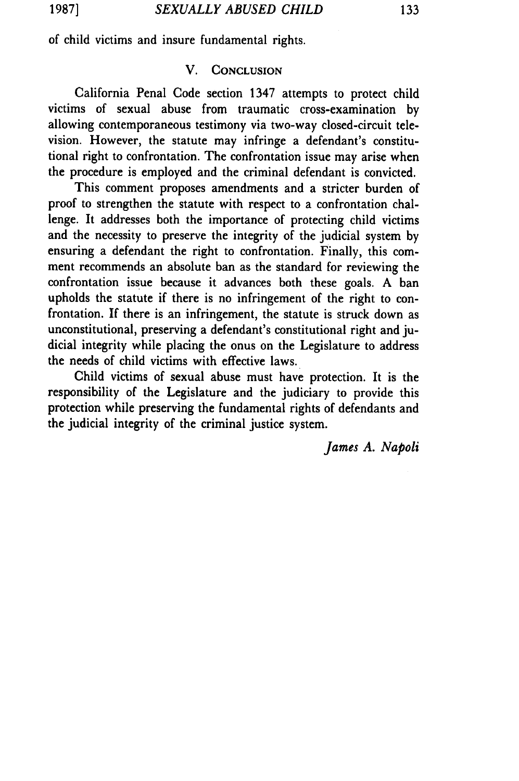of child victims and insure fundamental rights.

# V. **CONCLUSION**

California Penal Code section 1347 attempts to protect child victims of sexual abuse from traumatic cross-examination by allowing contemporaneous testimony via two-way closed-circuit television. However, the statute may infringe a defendant's constitutional right to confrontation. The confrontation issue may arise when the procedure is employed and the criminal defendant is convicted.

This comment proposes amendments and a stricter burden of proof to strengthen the statute with respect to a confrontation challenge. It addresses both the importance of protecting child victims and the necessity to preserve the integrity of the judicial system by ensuring a defendant the right to confrontation. Finally, this comment recommends an absolute ban as the standard for reviewing the confrontation issue because it advances both these goals. A ban upholds the statute if there is no infringement of the right to confrontation. **If** there is an infringement, the statute is struck down as unconstitutional, preserving a defendant's constitutional right and judicial integrity while placing the onus on the Legislature to address the needs of child victims with effective laws.

Child victims of sexual abuse must have protection. It is the responsibility of the Legislature and the judiciary to provide this protection while preserving the fundamental rights of defendants and the judicial integrity of the criminal justice system.

*James A. Napoli*